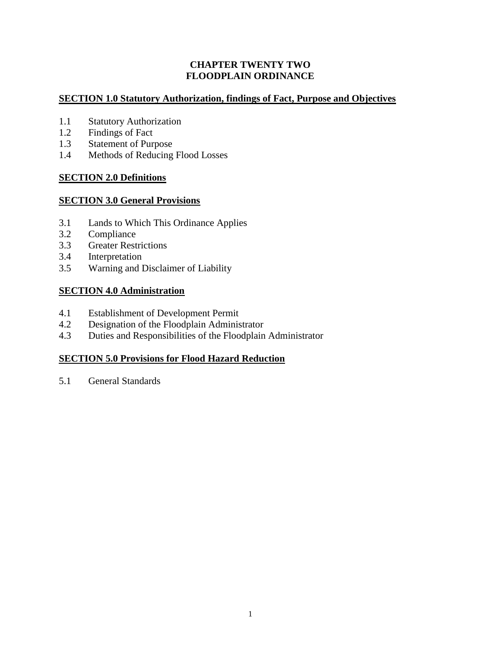## **CHAPTER TWENTY TWO FLOODPLAIN ORDINANCE**

# **SECTION 1.0 Statutory Authorization, findings of Fact, Purpose and Objectives**

- 1.1 Statutory Authorization
- 1.2 Findings of Fact
- 1.3 Statement of Purpose
- 1.4 Methods of Reducing Flood Losses

# **SECTION 2.0 Definitions**

# **SECTION 3.0 General Provisions**

- 3.1 Lands to Which This Ordinance Applies
- 3.2 Compliance
- 3.3 Greater Restrictions
- 3.4 Interpretation
- 3.5 Warning and Disclaimer of Liability

# **SECTION 4.0 Administration**

- 4.1 Establishment of Development Permit
- 4.2 Designation of the Floodplain Administrator
- 4.3 Duties and Responsibilities of the Floodplain Administrator

# **SECTION 5.0 Provisions for Flood Hazard Reduction**

5.1 General Standards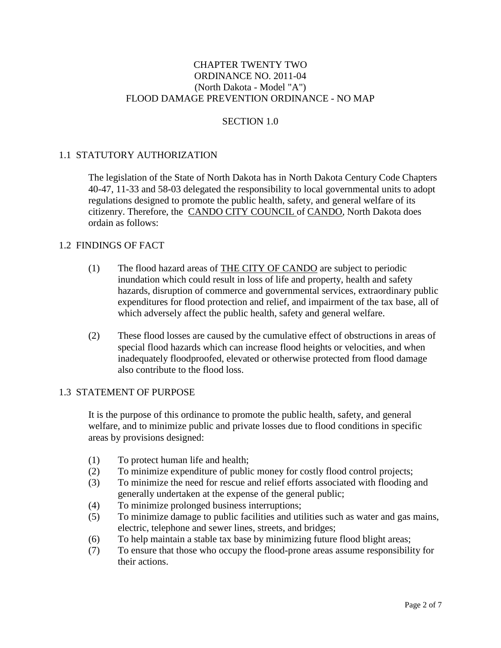## CHAPTER TWENTY TWO ORDINANCE NO. 2011-04 (North Dakota - Model "A") FLOOD DAMAGE PREVENTION ORDINANCE - NO MAP

## SECTION 1.0

## 1.1 STATUTORY AUTHORIZATION

The legislation of the State of North Dakota has in North Dakota Century Code Chapters 40-47, 11-33 and 58-03 delegated the responsibility to local governmental units to adopt regulations designed to promote the public health, safety, and general welfare of its citizenry. Therefore, the CANDO CITY COUNCIL of CANDO, North Dakota does ordain as follows:

#### 1.2 FINDINGS OF FACT

- (1) The flood hazard areas of THE CITY OF CANDO are subject to periodic inundation which could result in loss of life and property, health and safety hazards, disruption of commerce and governmental services, extraordinary public expenditures for flood protection and relief, and impairment of the tax base, all of which adversely affect the public health, safety and general welfare.
- (2) These flood losses are caused by the cumulative effect of obstructions in areas of special flood hazards which can increase flood heights or velocities, and when inadequately floodproofed, elevated or otherwise protected from flood damage also contribute to the flood loss.

#### 1.3 STATEMENT OF PURPOSE

It is the purpose of this ordinance to promote the public health, safety, and general welfare, and to minimize public and private losses due to flood conditions in specific areas by provisions designed:

- (1) To protect human life and health;
- (2) To minimize expenditure of public money for costly flood control projects;
- (3) To minimize the need for rescue and relief efforts associated with flooding and generally undertaken at the expense of the general public;
- (4) To minimize prolonged business interruptions;
- (5) To minimize damage to public facilities and utilities such as water and gas mains, electric, telephone and sewer lines, streets, and bridges;
- (6) To help maintain a stable tax base by minimizing future flood blight areas;
- (7) To ensure that those who occupy the flood-prone areas assume responsibility for their actions.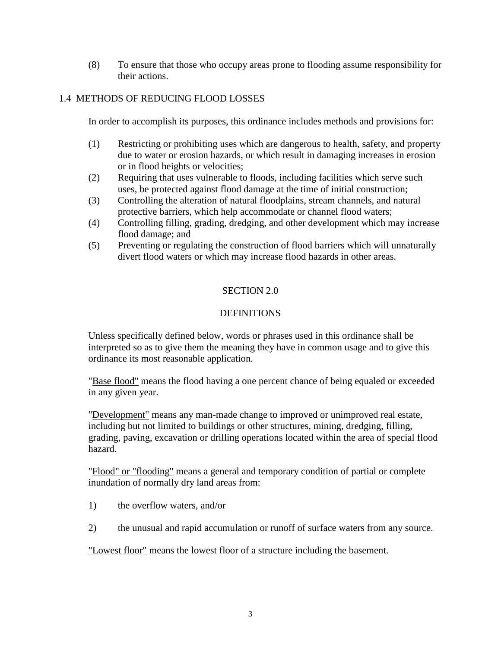(8) To ensure that those who occupy areas prone to flooding assume responsibility for their actions.

## 1.4 METHODS OF REDUCING FLOOD LOSSES

In order to accomplish its purposes, this ordinance includes methods and provisions for:

- (1) Restricting or prohibiting uses which are dangerous to health, safety, and property due to water or erosion hazards, or which result in damaging increases in erosion or in flood heights or velocities;
- (2) Requiring that uses vulnerable to floods, including facilities which serve such uses, be protected against flood damage at the time of initial construction;
- (3) Controlling the alteration of natural floodplains, stream channels, and natural protective barriers, which help accommodate or channel flood waters;
- (4) Controlling filling, grading, dredging, and other development which may increase flood damage; and
- (5) Preventing or regulating the construction of flood barriers which will unnaturally divert flood waters or which may increase flood hazards in other areas.

## SECTION 2.0

## **DEFINITIONS**

Unless specifically defined below, words or phrases used in this ordinance shall be interpreted so as to give them the meaning they have in common usage and to give this ordinance its most reasonable application.

"Base flood" means the flood having a one percent chance of being equaled or exceeded in any given year.

"Development" means any man-made change to improved or unimproved real estate, including but not limited to buildings or other structures, mining, dredging, filling, grading, paving, excavation or drilling operations located within the area of special flood hazard.

"Flood" or "flooding" means a general and temporary condition of partial or complete inundation of normally dry land areas from:

- 1) the overflow waters, and/or
- 2) the unusual and rapid accumulation or runoff of surface waters from any source.

"Lowest floor" means the lowest floor of a structure including the basement.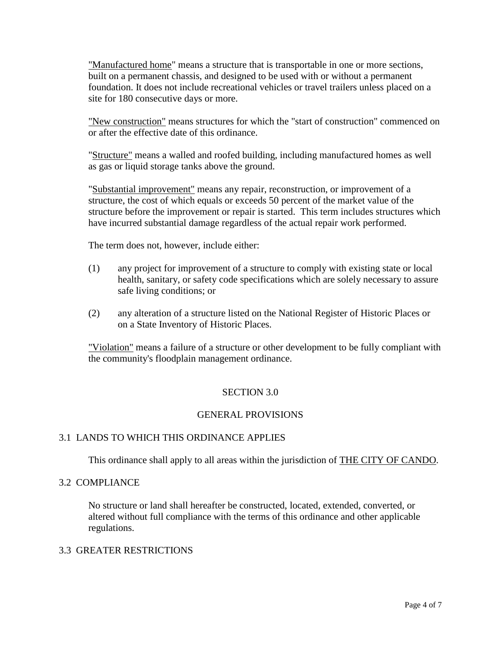"Manufactured home" means a structure that is transportable in one or more sections, built on a permanent chassis, and designed to be used with or without a permanent foundation. It does not include recreational vehicles or travel trailers unless placed on a site for 180 consecutive days or more.

"New construction" means structures for which the "start of construction" commenced on or after the effective date of this ordinance.

"Structure" means a walled and roofed building, including manufactured homes as well as gas or liquid storage tanks above the ground.

"Substantial improvement" means any repair, reconstruction, or improvement of a structure, the cost of which equals or exceeds 50 percent of the market value of the structure before the improvement or repair is started. This term includes structures which have incurred substantial damage regardless of the actual repair work performed.

The term does not, however, include either:

- (1) any project for improvement of a structure to comply with existing state or local health, sanitary, or safety code specifications which are solely necessary to assure safe living conditions; or
- (2) any alteration of a structure listed on the National Register of Historic Places or on a State Inventory of Historic Places.

"Violation" means a failure of a structure or other development to be fully compliant with the community's floodplain management ordinance.

## SECTION 3.0

#### GENERAL PROVISIONS

## 3.1 LANDS TO WHICH THIS ORDINANCE APPLIES

This ordinance shall apply to all areas within the jurisdiction of **THE CITY OF CANDO**.

#### 3.2 COMPLIANCE

No structure or land shall hereafter be constructed, located, extended, converted, or altered without full compliance with the terms of this ordinance and other applicable regulations.

## 3.3 GREATER RESTRICTIONS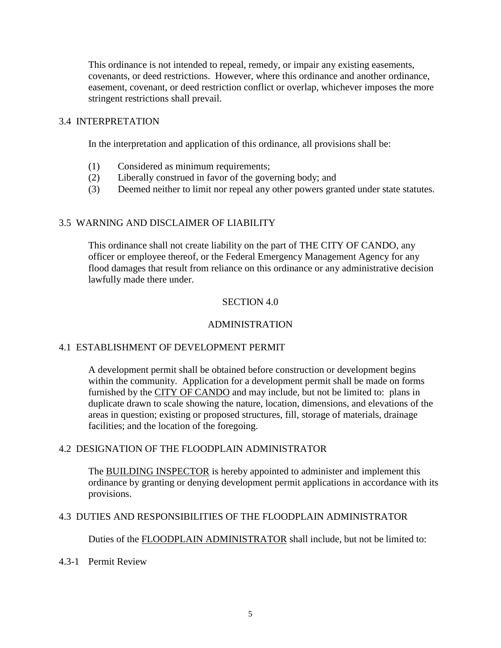This ordinance is not intended to repeal, remedy, or impair any existing easements, covenants, or deed restrictions. However, where this ordinance and another ordinance, easement, covenant, or deed restriction conflict or overlap, whichever imposes the more stringent restrictions shall prevail.

## 3.4 INTERPRETATION

In the interpretation and application of this ordinance, all provisions shall be:

- (1) Considered as minimum requirements;
- (2) Liberally construed in favor of the governing body; and
- (3) Deemed neither to limit nor repeal any other powers granted under state statutes.

## 3.5 WARNING AND DISCLAIMER OF LIABILITY

This ordinance shall not create liability on the part of THE CITY OF CANDO, any officer or employee thereof, or the Federal Emergency Management Agency for any flood damages that result from reliance on this ordinance or any administrative decision lawfully made there under.

## SECTION 4.0

## ADMINISTRATION

## 4.1 ESTABLISHMENT OF DEVELOPMENT PERMIT

A development permit shall be obtained before construction or development begins within the community. Application for a development permit shall be made on forms furnished by the CITY OF CANDO and may include, but not be limited to: plans in duplicate drawn to scale showing the nature, location, dimensions, and elevations of the areas in question; existing or proposed structures, fill, storage of materials, drainage facilities; and the location of the foregoing.

## 4.2 DESIGNATION OF THE FLOODPLAIN ADMINISTRATOR

The BUILDING INSPECTOR is hereby appointed to administer and implement this ordinance by granting or denying development permit applications in accordance with its provisions.

## 4.3 DUTIES AND RESPONSIBILITIES OF THE FLOODPLAIN ADMINISTRATOR

Duties of the FLOODPLAIN ADMINISTRATOR shall include, but not be limited to:

## 4.3-1 Permit Review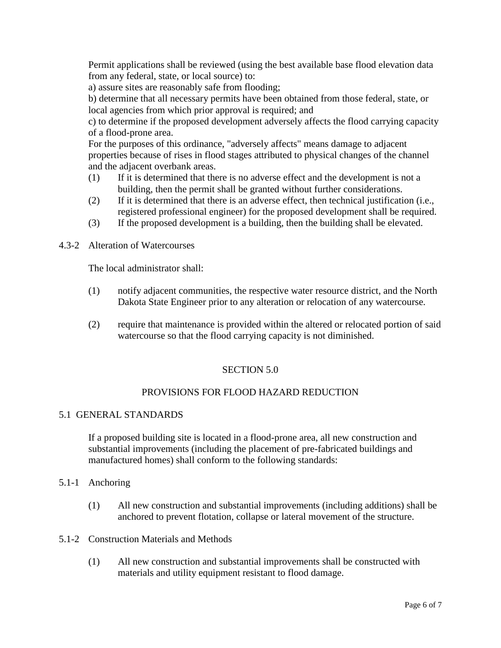Permit applications shall be reviewed (using the best available base flood elevation data from any federal, state, or local source) to:

a) assure sites are reasonably safe from flooding;

b) determine that all necessary permits have been obtained from those federal, state, or local agencies from which prior approval is required; and

c) to determine if the proposed development adversely affects the flood carrying capacity of a flood-prone area.

For the purposes of this ordinance, "adversely affects" means damage to adjacent properties because of rises in flood stages attributed to physical changes of the channel and the adjacent overbank areas.

- (1) If it is determined that there is no adverse effect and the development is not a building, then the permit shall be granted without further considerations.
- (2) If it is determined that there is an adverse effect, then technical justification (i.e., registered professional engineer) for the proposed development shall be required.
- (3) If the proposed development is a building, then the building shall be elevated.
- 4.3-2 Alteration of Watercourses

The local administrator shall:

- (1) notify adjacent communities, the respective water resource district, and the North Dakota State Engineer prior to any alteration or relocation of any watercourse.
- (2) require that maintenance is provided within the altered or relocated portion of said watercourse so that the flood carrying capacity is not diminished.

## SECTION 5.0

## PROVISIONS FOR FLOOD HAZARD REDUCTION

#### 5.1 GENERAL STANDARDS

If a proposed building site is located in a flood-prone area, all new construction and substantial improvements (including the placement of pre-fabricated buildings and manufactured homes) shall conform to the following standards:

- 5.1-1 Anchoring
	- (1) All new construction and substantial improvements (including additions) shall be anchored to prevent flotation, collapse or lateral movement of the structure.
- 5.1-2 Construction Materials and Methods
	- (1) All new construction and substantial improvements shall be constructed with materials and utility equipment resistant to flood damage.